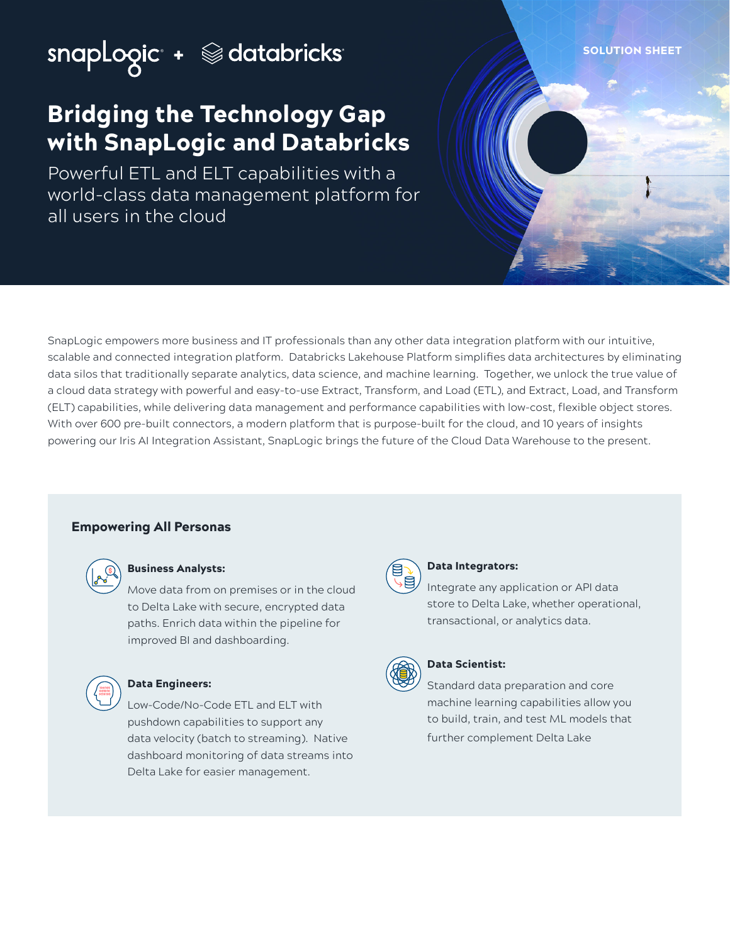# SNOPLOOIC + School dicks

## Bridging the Technology Gap with SnapLogic and Databricks

Powerful ETL and ELT capabilities with a world-class data management platform for all users in the cloud

SnapLogic empowers more business and IT professionals than any other data integration platform with our intuitive, scalable and connected integration platform. Databricks Lakehouse Platform simplifies data architectures by eliminating data silos that traditionally separate analytics, data science, and machine learning. Together, we unlock the true value of a cloud data strategy with powerful and easy-to-use Extract, Transform, and Load (ETL), and Extract, Load, and Transform (ELT) capabilities, while delivering data management and performance capabilities with low-cost, flexible object stores. With over 600 pre-built connectors, a modern platform that is purpose-built for the cloud, and 10 years of insights powering our Iris AI Integration Assistant, SnapLogic brings the future of the Cloud Data Warehouse to the present.

## Empowering All Personas



#### Business Analysts:

Move data from on premises or in the cloud to Delta Lake with secure, encrypted data paths. Enrich data within the pipeline for improved BI and dashboarding.



#### Data Engineers:

Low-Code/No-Code ETL and ELT with pushdown capabilities to support any data velocity (batch to streaming). Native dashboard monitoring of data streams into Delta Lake for easier management.



#### Data Integrators:

Integrate any application or API data store to Delta Lake, whether operational, transactional, or analytics data.



## Data Scientist:

Standard data preparation and core machine learning capabilities allow you to build, train, and test ML models that further complement Delta Lake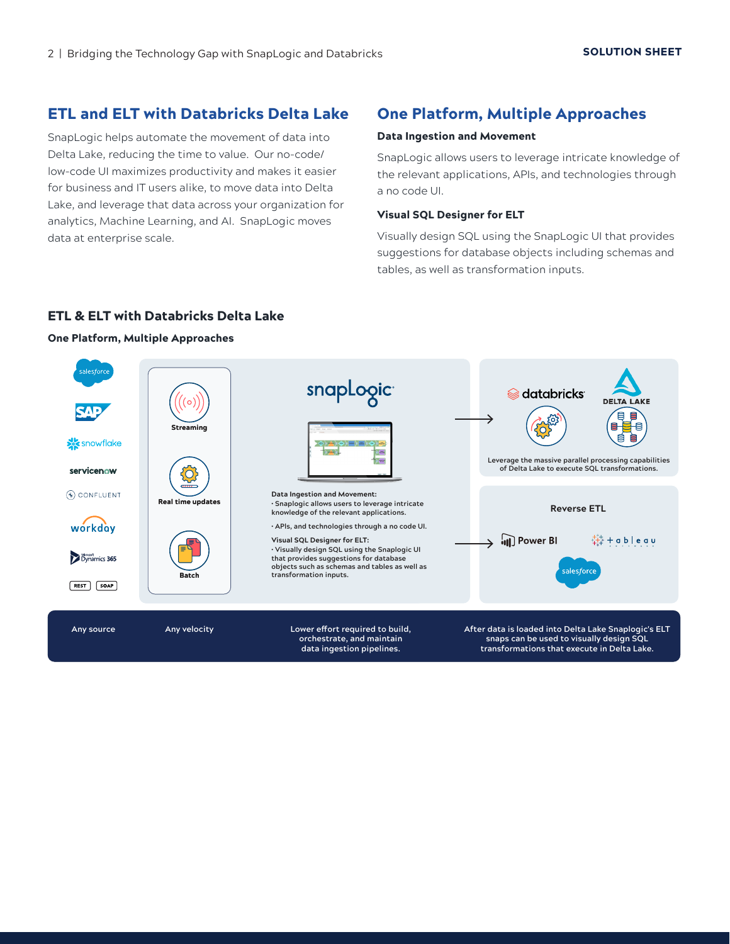## ETL and ELT with Databricks Delta Lake

SnapLogic helps automate the movement of data into Delta Lake, reducing the time to value. Our no-code/ low-code UI maximizes productivity and makes it easier for business and IT users alike, to move data into Delta Lake, and leverage that data across your organization for analytics, Machine Learning, and AI. SnapLogic moves data at enterprise scale.

## One Platform, Multiple Approaches

#### Data Ingestion and Movement

SnapLogic allows users to leverage intricate knowledge of the relevant applications, APIs, and technologies through a no code UI.

#### Visual SQL Designer for ELT

Visually design SQL using the SnapLogic UI that provides suggestions for database objects including schemas and tables, as well as transformation inputs.

## ETL & ELT with Databricks Delta Lake

#### One Platform, Multiple Approaches